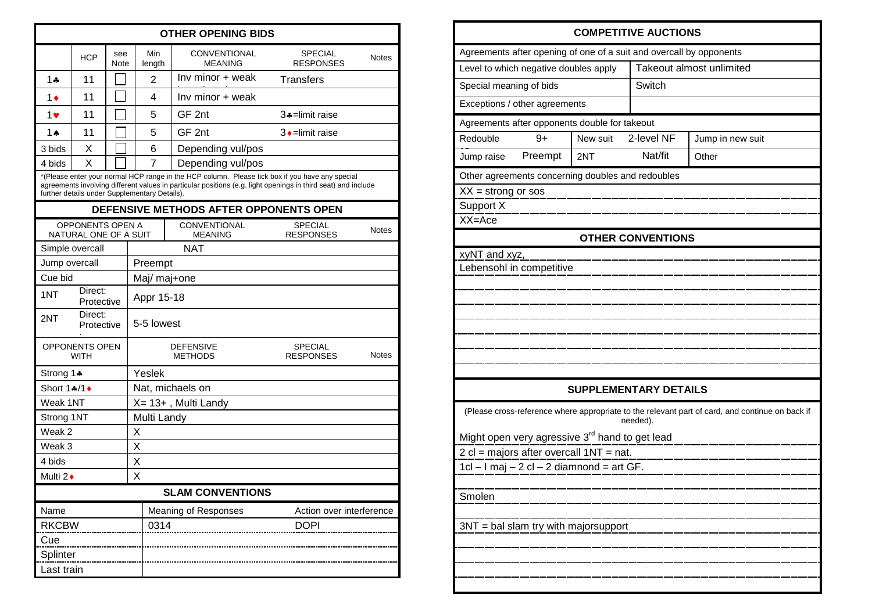| <b>OTHER OPENING BIDS</b>                                                                                                                                                                                                                                         |                       |                    |                     |                                       |                                    |              |  |  |
|-------------------------------------------------------------------------------------------------------------------------------------------------------------------------------------------------------------------------------------------------------------------|-----------------------|--------------------|---------------------|---------------------------------------|------------------------------------|--------------|--|--|
|                                                                                                                                                                                                                                                                   | <b>HCP</b>            | see<br><b>Note</b> |                     | CONVENTIONAL<br><b>MEANING</b>        | <b>SPECIAL</b><br><b>RESPONSES</b> | <b>Notes</b> |  |  |
| 1 ሐ                                                                                                                                                                                                                                                               | 11                    |                    | $\overline{2}$      | Inv minor + weak                      | Transfers                          |              |  |  |
| 1♦                                                                                                                                                                                                                                                                | 11                    |                    | 4                   | Inv minor + weak                      |                                    |              |  |  |
| $1$ v                                                                                                                                                                                                                                                             | 11                    |                    | 5                   | GF 2nt                                | 3+=limit raise                     |              |  |  |
| 1 ▲                                                                                                                                                                                                                                                               | 11                    |                    | 5                   | GF 2nt                                | $3 \cdot$ =limit raise             |              |  |  |
| 3 bids                                                                                                                                                                                                                                                            | X                     |                    | 6                   | Depending vul/pos                     |                                    |              |  |  |
| 4 bids                                                                                                                                                                                                                                                            | X                     |                    | 7                   | Depending vul/pos                     |                                    |              |  |  |
| *(Please enter your normal HCP range in the HCP column. Please tick box if you have any special<br>agreements involving different values in particular positions (e.g. light openings in third seat) and include<br>further details under Supplementary Details). |                       |                    |                     |                                       |                                    |              |  |  |
| DEFENSIVE METHODS AFTER OPPONENTS OPEN                                                                                                                                                                                                                            |                       |                    |                     |                                       |                                    |              |  |  |
| <b>OPPONENTS OPEN A</b><br>NATURAL ONE OF A SUIT                                                                                                                                                                                                                  |                       |                    |                     | <b>CONVENTIONAL</b><br><b>MEANING</b> | <b>SPECIAL</b><br><b>RESPONSES</b> | <b>Notes</b> |  |  |
|                                                                                                                                                                                                                                                                   | Simple overcall       |                    |                     | NAT                                   |                                    |              |  |  |
| Jump overcall                                                                                                                                                                                                                                                     |                       |                    | Preempt             |                                       |                                    |              |  |  |
| Cue bid                                                                                                                                                                                                                                                           |                       |                    | Maj/ maj+one        |                                       |                                    |              |  |  |
| 1NT                                                                                                                                                                                                                                                               | Direct:<br>Protective |                    | Appr 15-18          |                                       |                                    |              |  |  |
| Direct:<br>2NT<br>Protective                                                                                                                                                                                                                                      |                       | 5-5 lowest         |                     |                                       |                                    |              |  |  |
| <b>OPPONENTS OPEN</b><br><b>WITH</b>                                                                                                                                                                                                                              |                       |                    |                     | <b>DEFENSIVE</b><br><b>METHODS</b>    | <b>SPECIAL</b><br><b>RESPONSES</b> | <b>Notes</b> |  |  |
| Strong 1*                                                                                                                                                                                                                                                         |                       |                    | Yeslek              |                                       |                                    |              |  |  |
| Short 1 $\clubsuit$ /1 $\bullet$                                                                                                                                                                                                                                  |                       |                    | Nat, michaels on    |                                       |                                    |              |  |  |
| Weak 1NT                                                                                                                                                                                                                                                          |                       |                    | X= 13+, Multi Landy |                                       |                                    |              |  |  |
| Strong 1NT                                                                                                                                                                                                                                                        |                       |                    | Multi Landy         |                                       |                                    |              |  |  |
| Weak 2                                                                                                                                                                                                                                                            |                       |                    | X                   |                                       |                                    |              |  |  |
| Weak 3                                                                                                                                                                                                                                                            |                       |                    | Х                   |                                       |                                    |              |  |  |
| 4 bids<br>Multi $2 \cdot$                                                                                                                                                                                                                                         |                       |                    | X<br>Χ              |                                       |                                    |              |  |  |
| <b>SLAM CONVENTIONS</b>                                                                                                                                                                                                                                           |                       |                    |                     |                                       |                                    |              |  |  |
| Name<br><b>Meaning of Responses</b><br>Action over interference                                                                                                                                                                                                   |                       |                    |                     |                                       |                                    |              |  |  |
| <b>RKCBW</b>                                                                                                                                                                                                                                                      |                       |                    | 0314                |                                       | <b>DOPI</b>                        |              |  |  |
| Cue                                                                                                                                                                                                                                                               |                       |                    |                     |                                       |                                    |              |  |  |
| Splinter                                                                                                                                                                                                                                                          |                       |                    |                     |                                       |                                    |              |  |  |
| Last train                                                                                                                                                                                                                                                        |                       |                    |                     |                                       |                                    |              |  |  |

| <b>COMPETITIVE AUCTIONS</b>                                         |         |                                                   |                              |                                                                                                 |  |  |  |
|---------------------------------------------------------------------|---------|---------------------------------------------------|------------------------------|-------------------------------------------------------------------------------------------------|--|--|--|
| Agreements after opening of one of a suit and overcall by opponents |         |                                                   |                              |                                                                                                 |  |  |  |
| Level to which negative doubles apply                               |         |                                                   | Takeout almost unlimited     |                                                                                                 |  |  |  |
| Special meaning of bids                                             |         |                                                   | Switch                       |                                                                                                 |  |  |  |
| Exceptions / other agreements                                       |         |                                                   |                              |                                                                                                 |  |  |  |
|                                                                     |         | Agreements after opponents double for takeout     |                              |                                                                                                 |  |  |  |
| Redouble                                                            | $9+$    | New suit                                          | 2-level NF                   | Jump in new suit                                                                                |  |  |  |
| Jump raise                                                          | Preempt | 2NT                                               | Nat/fit                      | Other                                                                                           |  |  |  |
|                                                                     |         | Other agreements concerning doubles and redoubles |                              |                                                                                                 |  |  |  |
| $XX =$ strong or sos                                                |         |                                                   |                              |                                                                                                 |  |  |  |
| Support X                                                           |         |                                                   |                              |                                                                                                 |  |  |  |
| XX=Ace                                                              |         |                                                   |                              |                                                                                                 |  |  |  |
|                                                                     |         |                                                   | <b>OTHER CONVENTIONS</b>     |                                                                                                 |  |  |  |
| xyNT and xyz,                                                       |         |                                                   |                              |                                                                                                 |  |  |  |
| Lebensohl in competitive                                            |         |                                                   |                              |                                                                                                 |  |  |  |
|                                                                     |         |                                                   |                              |                                                                                                 |  |  |  |
|                                                                     |         |                                                   |                              |                                                                                                 |  |  |  |
|                                                                     |         |                                                   |                              |                                                                                                 |  |  |  |
|                                                                     |         |                                                   |                              |                                                                                                 |  |  |  |
|                                                                     |         |                                                   |                              |                                                                                                 |  |  |  |
|                                                                     |         |                                                   |                              |                                                                                                 |  |  |  |
|                                                                     |         |                                                   | <b>SUPPLEMENTARY DETAILS</b> |                                                                                                 |  |  |  |
|                                                                     |         |                                                   | needed).                     | (Please cross-reference where appropriate to the relevant part of card, and continue on back if |  |  |  |
| Might open very agressive 3rd hand to get lead                      |         |                                                   |                              |                                                                                                 |  |  |  |
| $2$ cl = majors after overcall $1NT = nat$ .                        |         |                                                   |                              |                                                                                                 |  |  |  |
| 1cl – I maj – 2 cl – 2 diamnond = art GF.                           |         |                                                   |                              |                                                                                                 |  |  |  |
|                                                                     |         |                                                   |                              |                                                                                                 |  |  |  |
| Smolen                                                              |         |                                                   |                              |                                                                                                 |  |  |  |
|                                                                     |         |                                                   |                              |                                                                                                 |  |  |  |
| $3NT = bal$ slam try with majorsupport                              |         |                                                   |                              |                                                                                                 |  |  |  |
|                                                                     |         |                                                   |                              |                                                                                                 |  |  |  |
|                                                                     |         |                                                   |                              |                                                                                                 |  |  |  |
|                                                                     |         |                                                   |                              |                                                                                                 |  |  |  |